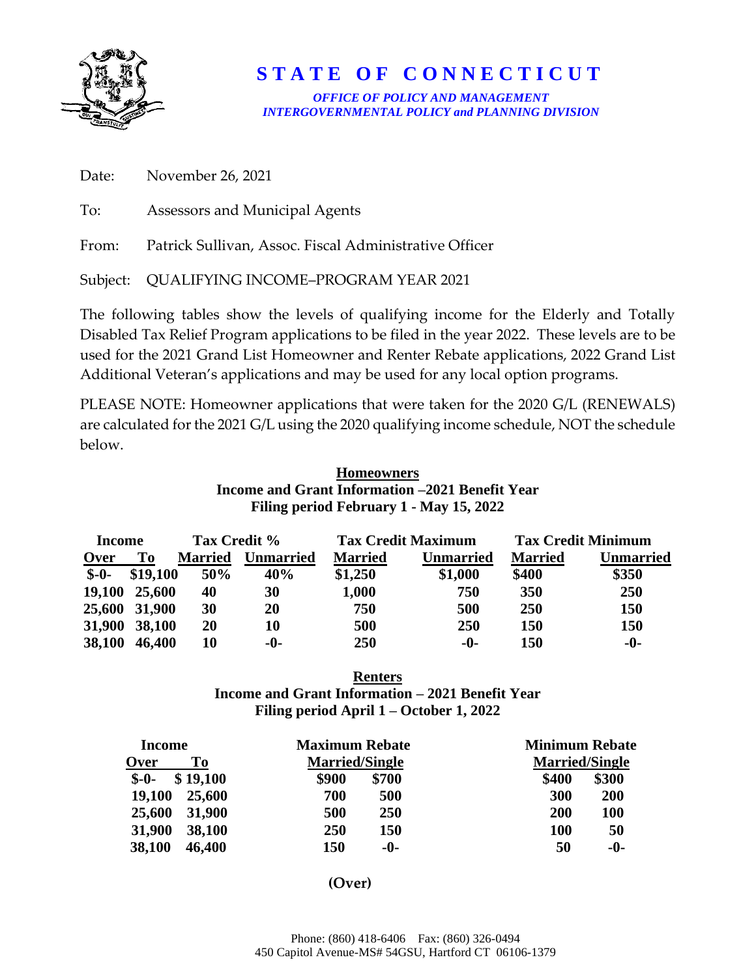

## **S T A T E O F C O N N E C T I C U T**

*OFFICE OF POLICY AND MANAGEMENT INTERGOVERNMENTAL POLICY and PLANNING DIVISION* 

| Date: November 26, 2021                                      |
|--------------------------------------------------------------|
| To: Assessors and Municipal Agents                           |
| From: Patrick Sullivan, Assoc. Fiscal Administrative Officer |
| Subject: QUALIFYING INCOME-PROGRAM YEAR 2021                 |

The following tables show the levels of qualifying income for the Elderly and Totally Disabled Tax Relief Program applications to be filed in the year 2022. These levels are to be used for the 2021 Grand List Homeowner and Renter Rebate applications, 2022 Grand List Additional Veteran's applications and may be used for any local option programs.

PLEASE NOTE: Homeowner applications that were taken for the 2020 G/L (RENEWALS) are calculated for the 2021 G/L using the 2020 qualifying income schedule, NOT the schedule below.

| <b>Homeowners</b>                               |  |
|-------------------------------------------------|--|
| Income and Grant Information –2021 Benefit Year |  |
| Filing period February 1 - May 15, 2022         |  |

| Income |               | Tax Credit %   |                  |                | <b>Tax Credit Maximum</b> |                | <b>Tax Credit Minimum</b> |
|--------|---------------|----------------|------------------|----------------|---------------------------|----------------|---------------------------|
| Over   | To            | <b>Married</b> | <b>Unmarried</b> | <b>Married</b> | <b>Unmarried</b>          | <b>Married</b> | Unmarried                 |
| $S-0-$ | \$19,100      | 50%            | 40%              | \$1,250        | \$1,000                   | \$400          | \$350                     |
|        | 19,100 25,600 | 40             | 30               | 1,000          | 750                       | 350            | 250                       |
|        | 25,600 31,900 | 30             | 20               | 750            | 500                       | 250            | 150                       |
| 31,900 | 38,100        | 20             | 10               | 500            | 250                       | 150            | 150                       |
| 38,100 | 46,400        | 10             | -0-              | 250            | -0-                       | 150            | $-0-$                     |

## **Renters Income and Grant Information – 2021 Benefit Year Filing period April 1 – October 1, 2022**

| Income     | <b>Maximum Rebate</b> | <b>Minimum Rebate</b> |  |  |
|------------|-----------------------|-----------------------|--|--|
| To<br>Over | <b>Married/Single</b> | <b>Married/Single</b> |  |  |
| \$19,100   | \$900                 | \$300                 |  |  |
| $S-0-$     | \$700                 | \$400                 |  |  |
| 19,100     | 700                   | 200                   |  |  |
| 25,600     | 500                   | 300                   |  |  |
| 31,900     | 250                   | <b>100</b>            |  |  |
| 25,600     | 500                   | 200                   |  |  |
| 31,900     | 250                   | 50                    |  |  |
| 38,100     | 150                   | <b>100</b>            |  |  |
| 38,100     | 150                   | 50                    |  |  |
| 46,400     | -0-                   | -0-                   |  |  |